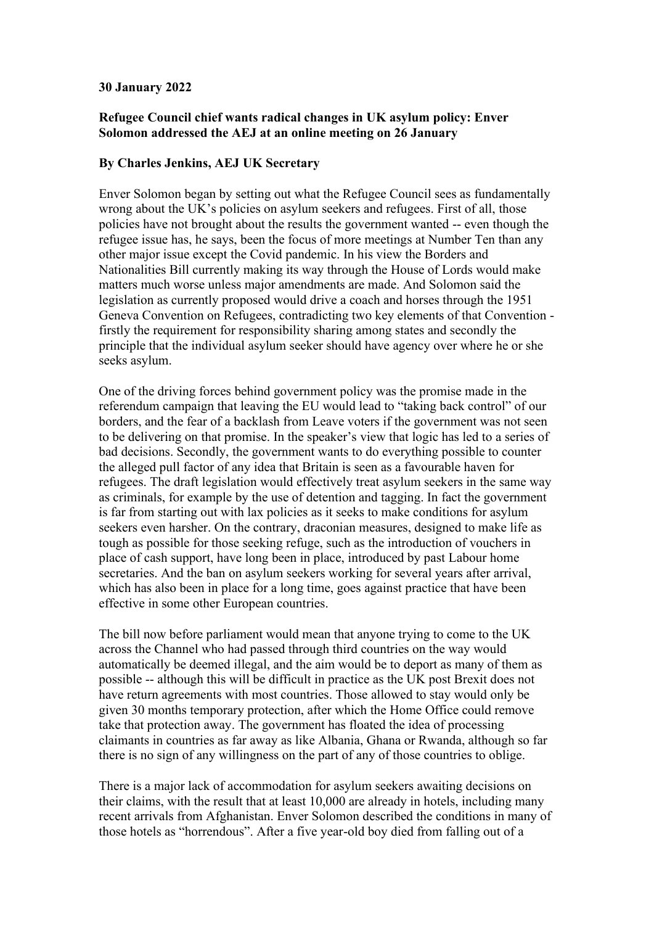## **30 January 2022**

## **Refugee Council chief wants radical changes in UK asylum policy: Enver Solomon addressed the AEJ at an online meeting on 26 January**

## **By Charles Jenkins, AEJ UK Secretary**

Enver Solomon began by setting out what the Refugee Council sees as fundamentally wrong about the UK's policies on asylum seekers and refugees. First of all, those policies have not brought about the results the government wanted -- even though the refugee issue has, he says, been the focus of more meetings at Number Ten than any other major issue except the Covid pandemic. In his view the Borders and Nationalities Bill currently making its way through the House of Lords would make matters much worse unless major amendments are made. And Solomon said the legislation as currently proposed would drive a coach and horses through the 1951 Geneva Convention on Refugees, contradicting two key elements of that Convention firstly the requirement for responsibility sharing among states and secondly the principle that the individual asylum seeker should have agency over where he or she seeks asylum.

One of the driving forces behind government policy was the promise made in the referendum campaign that leaving the EU would lead to "taking back control" of our borders, and the fear of a backlash from Leave voters if the government was not seen to be delivering on that promise. In the speaker's view that logic has led to a series of bad decisions. Secondly, the government wants to do everything possible to counter the alleged pull factor of any idea that Britain is seen as a favourable haven for refugees. The draft legislation would effectively treat asylum seekers in the same way as criminals, for example by the use of detention and tagging. In fact the government is far from starting out with lax policies as it seeks to make conditions for asylum seekers even harsher. On the contrary, draconian measures, designed to make life as tough as possible for those seeking refuge, such as the introduction of vouchers in place of cash support, have long been in place, introduced by past Labour home secretaries. And the ban on asylum seekers working for several years after arrival, which has also been in place for a long time, goes against practice that have been effective in some other European countries.

The bill now before parliament would mean that anyone trying to come to the UK across the Channel who had passed through third countries on the way would automatically be deemed illegal, and the aim would be to deport as many of them as possible -- although this will be difficult in practice as the UK post Brexit does not have return agreements with most countries. Those allowed to stay would only be given 30 months temporary protection, after which the Home Office could remove take that protection away. The government has floated the idea of processing claimants in countries as far away as like Albania, Ghana or Rwanda, although so far there is no sign of any willingness on the part of any of those countries to oblige.

There is a major lack of accommodation for asylum seekers awaiting decisions on their claims, with the result that at least 10,000 are already in hotels, including many recent arrivals from Afghanistan. Enver Solomon described the conditions in many of those hotels as "horrendous". After a five year-old boy died from falling out of a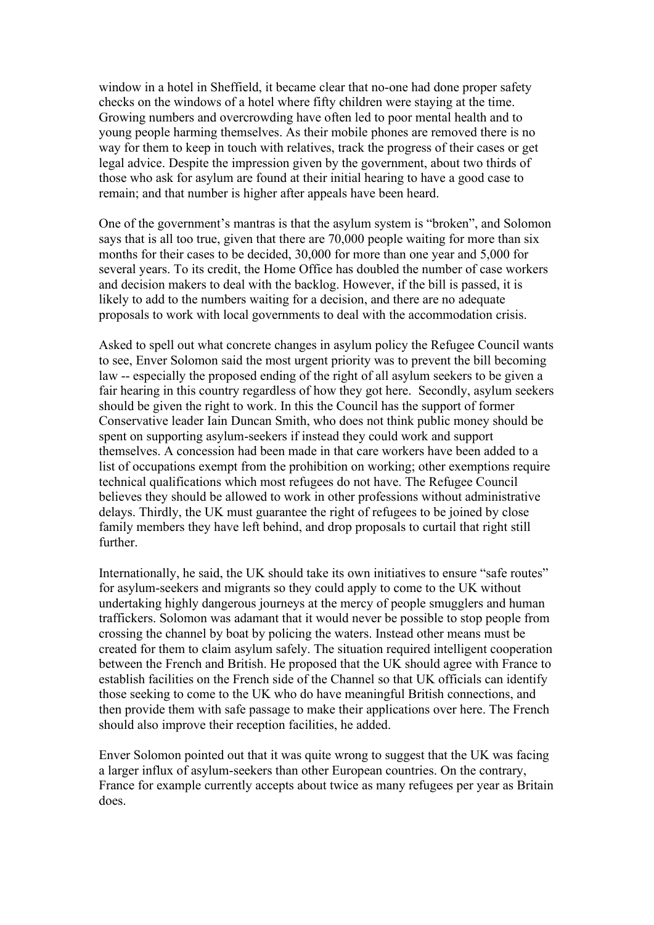window in a hotel in Sheffield, it became clear that no-one had done proper safety checks on the windows of a hotel where fifty children were staying at the time. Growing numbers and overcrowding have often led to poor mental health and to young people harming themselves. As their mobile phones are removed there is no way for them to keep in touch with relatives, track the progress of their cases or get legal advice. Despite the impression given by the government, about two thirds of those who ask for asylum are found at their initial hearing to have a good case to remain; and that number is higher after appeals have been heard.

One of the government's mantras is that the asylum system is "broken", and Solomon says that is all too true, given that there are 70,000 people waiting for more than six months for their cases to be decided, 30,000 for more than one year and 5,000 for several years. To its credit, the Home Office has doubled the number of case workers and decision makers to deal with the backlog. However, if the bill is passed, it is likely to add to the numbers waiting for a decision, and there are no adequate proposals to work with local governments to deal with the accommodation crisis.

Asked to spell out what concrete changes in asylum policy the Refugee Council wants to see, Enver Solomon said the most urgent priority was to prevent the bill becoming law -- especially the proposed ending of the right of all asylum seekers to be given a fair hearing in this country regardless of how they got here. Secondly, asylum seekers should be given the right to work. In this the Council has the support of former Conservative leader Iain Duncan Smith, who does not think public money should be spent on supporting asylum-seekers if instead they could work and support themselves. A concession had been made in that care workers have been added to a list of occupations exempt from the prohibition on working; other exemptions require technical qualifications which most refugees do not have. The Refugee Council believes they should be allowed to work in other professions without administrative delays. Thirdly, the UK must guarantee the right of refugees to be joined by close family members they have left behind, and drop proposals to curtail that right still further.

Internationally, he said, the UK should take its own initiatives to ensure "safe routes" for asylum-seekers and migrants so they could apply to come to the UK without undertaking highly dangerous journeys at the mercy of people smugglers and human traffickers. Solomon was adamant that it would never be possible to stop people from crossing the channel by boat by policing the waters. Instead other means must be created for them to claim asylum safely. The situation required intelligent cooperation between the French and British. He proposed that the UK should agree with France to establish facilities on the French side of the Channel so that UK officials can identify those seeking to come to the UK who do have meaningful British connections, and then provide them with safe passage to make their applications over here. The French should also improve their reception facilities, he added.

Enver Solomon pointed out that it was quite wrong to suggest that the UK was facing a larger influx of asylum-seekers than other European countries. On the contrary, France for example currently accepts about twice as many refugees per year as Britain does.